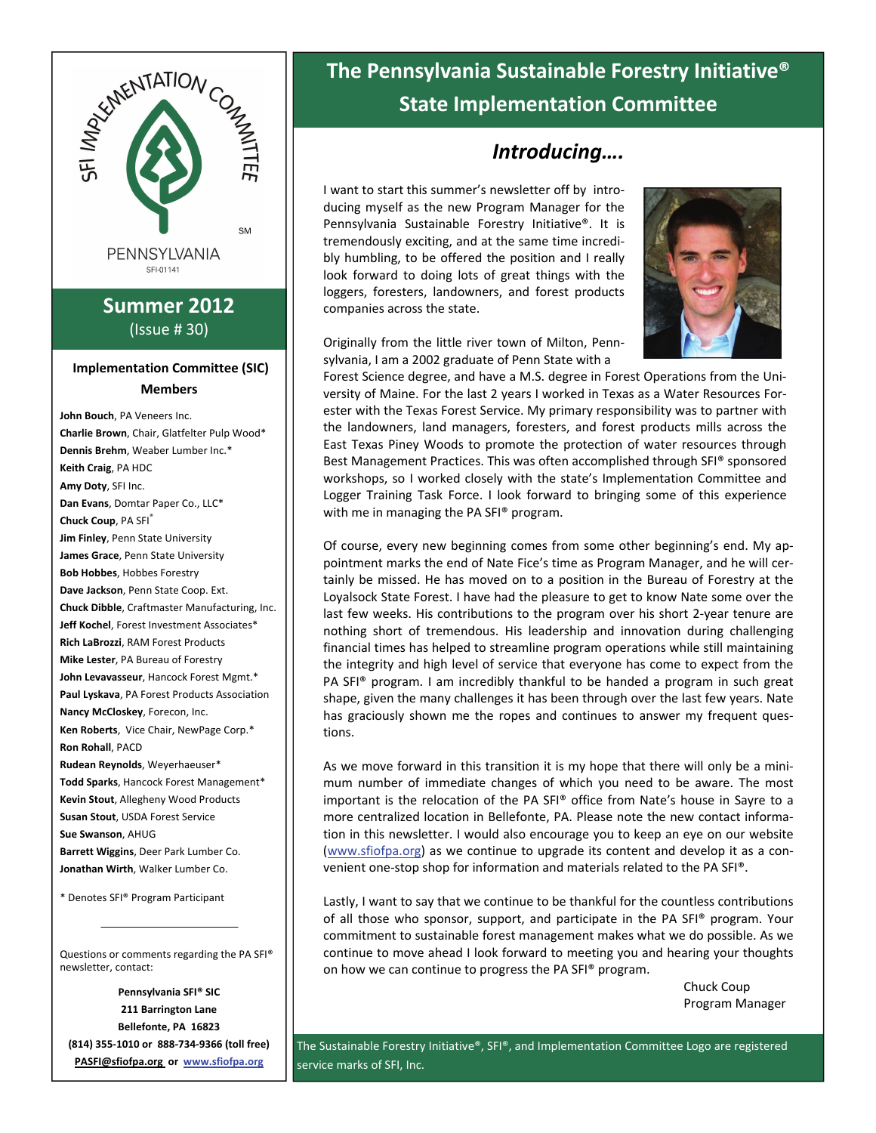

## **Summer 2012** (Issue # 30)

### **Implementation Committee (SIC) Members**

**John Bouch**, PA Veneers Inc. **Charlie Brown**, Chair, Glatfelter Pulp Wood\* **Dennis Brehm**, Weaber Lumber Inc.\* **Keith Craig**, PA HDC **Amy Doty**, SFI Inc. **Dan Evans**, Domtar Paper Co., LLC\* **Chuck Coup**, PA SFI® **Jim Finley**, Penn State University **James Grace**, Penn State University **Bob Hobbes**, Hobbes Forestry **Dave Jackson**, Penn State Coop. Ext. **Chuck Dibble**, Craftmaster Manufacturing, Inc. **Jeff Kochel**, Forest Investment Associates\* **Rich LaBrozzi**, RAM Forest Products **Mike Lester**, PA Bureau of Forestry **John Levavasseur**, Hancock Forest Mgmt.\* **Paul Lyskava**, PA Forest Products Association **Nancy McCloskey**, Forecon, Inc. **Ken Roberts**, Vice Chair, NewPage Corp.\* **Ron Rohall**, PACD **Rudean Reynolds**, Weyerhaeuser\* **Todd Sparks**, Hancock Forest Management\* **Kevin Stout**, Allegheny Wood Products **Susan Stout**, USDA Forest Service **Sue Swanson**, AHUG **Barrett Wiggins**, Deer Park Lumber Co. **Jonathan Wirth**, Walker Lumber Co. \* Denotes SFI® Program Participant

Questions or comments regarding the PA SFI® newsletter, contact:

**Pennsylvania SFI® SIC 211 Barrington Lane Bellefonte, PA 16823 (814) 355‐1010 or 888‐734‐9366 (toll free) PASFI@sfiofpa.org or [www.sfiofpa.or](http://www.sfiofpa.org)g**

# **The Pennsylvania Sustainable Forestry Initiative® State Implementation Committee**

## *Introducing….*

I want to start this summer's newsletter off by intro‐ ducing myself as the new Program Manager for the Pennsylvania Sustainable Forestry Initiative®. It is tremendously exciting, and at the same time incredi‐ bly humbling, to be offered the position and I really look forward to doing lots of great things with the loggers, foresters, landowners, and forest products companies across the state.



Originally from the little river town of Milton, Penn‐ sylvania, I am a 2002 graduate of Penn State with a

Forest Science degree, and have a M.S. degree in Forest Operations from the Uni‐ versity of Maine. For the last 2 years I worked in Texas as a Water Resources For‐ ester with the Texas Forest Service. My primary responsibility was to partner with the landowners, land managers, foresters, and forest products mills across the East Texas Piney Woods to promote the protection of water resources through Best Management Practices. This was often accomplished through SFI® sponsored workshops, so I worked closely with the state's Implementation Committee and Logger Training Task Force. I look forward to bringing some of this experience with me in managing the PA SFI® program.

Of course, every new beginning comes from some other beginning's end. My ap‐ pointment marks the end of Nate Fice's time as Program Manager, and he will cer‐ tainly be missed. He has moved on to a position in the Bureau of Forestry at the Loyalsock State Forest. I have had the pleasure to get to know Nate some over the last few weeks. His contributions to the program over his short 2‐year tenure are nothing short of tremendous. His leadership and innovation during challenging financial times has helped to streamline program operations while still maintaining the integrity and high level of service that everyone has come to expect from the PA SFI® program. I am incredibly thankful to be handed a program in such great shape, given the many challenges it has been through over the last few years. Nate has graciously shown me the ropes and continues to answer my frequent questions.

As we move forward in this transition it is my hope that there will only be a mini‐ mum number of immediate changes of which you need to be aware. The most important is the relocation of the PA SFI® office from Nate's house in Sayre to a more centralized location in Bellefonte, PA. Please note the new contact informa‐ tion in this newsletter. I would also encourage you to keep an eye on our website [\(www.sfiofpa.org](http://www.sfiofpa.org)) as we continue to upgrade its content and develop it as a con‐ venient one‐stop shop for information and materials related to the PA SFI®.

Lastly, I want to say that we continue to be thankful for the countless contributions of all those who sponsor, support, and participate in the PA SFI® program. Your commitment to sustainable forest management makes what we do possible. As we continue to move ahead I look forward to meeting you and hearing your thoughts on how we can continue to progress the PA SFI® program.

> Chuck Coup Program Manager

The Sustainable Forestry Initiative®, SFI®, and Implementation Committee Logo are registered service marks of SFI, Inc.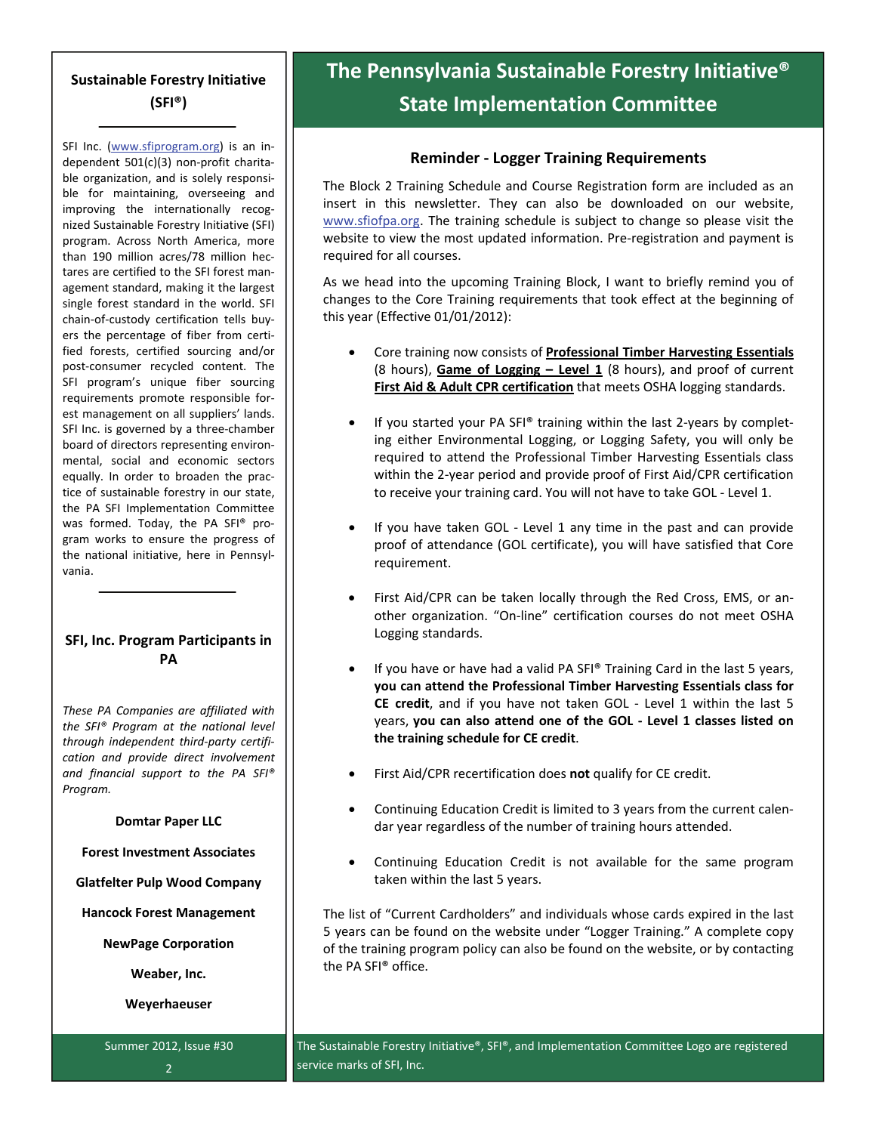## **Sustainable Forestry Initiative (SFI®)**

SFI Inc. ([www.sfiprogram.org](http://www.sfiprogram.org/)) is an independent 501(c)(3) non‐profit charita‐ ble organization, and is solely responsi‐ ble for maintaining, overseeing and improving the internationally recognized Sustainable Forestry Initiative (SFI) program. Across North America, more than 190 million acres/78 million hec‐ tares are certified to the SFI forest man‐ agement standard, making it the largest single forest standard in the world. SFI chain‐of‐custody certification tells buy‐ ers the percentage of fiber from certi‐ fied forests, certified sourcing and/or post-consumer recycled content. The SFI program's unique fiber sourcing requirements promote responsible for‐ est management on all suppliers' lands. SFI Inc. is governed by a three‐chamber board of directors representing environ‐ mental, social and economic sectors equally. In order to broaden the prac‐ tice of sustainable forestry in our state, the PA SFI Implementation Committee was formed. Today, the PA SFI<sup>®</sup> program works to ensure the progress of the national initiative, here in Pennsyl‐ vania.

### **SFI, Inc. Program Participants in PA**

*These PA Companies are affiliated with the SFI® Program at the national level through independent third‐party certifi‐ cation and provide direct involvement and financial support to the PA SFI® Program.*

### **Domtar Paper LLC**

**Forest Investment Associates**

**Glatfelter Pulp Wood Company**

**Hancock Forest Management**

**NewPage Corporation**

**Weaber, Inc.**

**Weyerhaeuser**

Summer 2012, Issue #30 2

# **The Pennsylvania Sustainable Forestry Initiative® State Implementation Committee**

### **Reminder ‐ Logger Training Requirements**

The Block 2 Training Schedule and Course Registration form are included as an insert in this newsletter. They can also be downloaded on our website, [www.sfiofpa.or](http://www.sfiofpa.org)g. The training schedule is subject to change so please visit the website to view the most updated information. Pre-registration and payment is required for all courses.

As we head into the upcoming Training Block, I want to briefly remind you of changes to the Core Training requirements that took effect at the beginning of this year (Effective 01/01/2012):

- Core training now consists of **Professional Timber Harvesting Essentials** (8 hours), **Game of Logging – Level 1** (8 hours), and proof of current **First Aid & Adult CPR certification** that meets OSHA logging standards.
- If you started your PA SFI® training within the last 2‐years by complet‐ ing either Environmental Logging, or Logging Safety, you will only be required to attend the Professional Timber Harvesting Essentials class within the 2‐year period and provide proof of First Aid/CPR certification to receive your training card. You will not have to take GOL ‐ Level 1.
- If you have taken GOL Level 1 any time in the past and can provide proof of attendance (GOL certificate), you will have satisfied that Core requirement.
- First Aid/CPR can be taken locally through the Red Cross, EMS, or an‐ other organization. "On‐line" certification courses do not meet OSHA Logging standards.
- If you have or have had a valid PA SFI® Training Card in the last 5 years, **you can attend the Professional Timber Harvesting Essentials class for CE credit**, and if you have not taken GOL ‐ Level 1 within the last 5 years, **you can also attend one of the GOL ‐ Level 1 classes listed on the training schedule for CE credit**.
- First Aid/CPR recertification does **not** qualify for CE credit.
- Continuing Education Credit is limited to 3 years from the current calen‐ dar year regardless of the number of training hours attended.
- Continuing Education Credit is not available for the same program taken within the last 5 years.

The list of "Current Cardholders" and individuals whose cards expired in the last 5 years can be found on the website under "Logger Training." A complete copy of the training program policy can also be found on the website, or by contacting the PA SFI® office.

The Sustainable Forestry Initiative®, SFI®, and Implementation Committee Logo are registered service marks of SFI, Inc.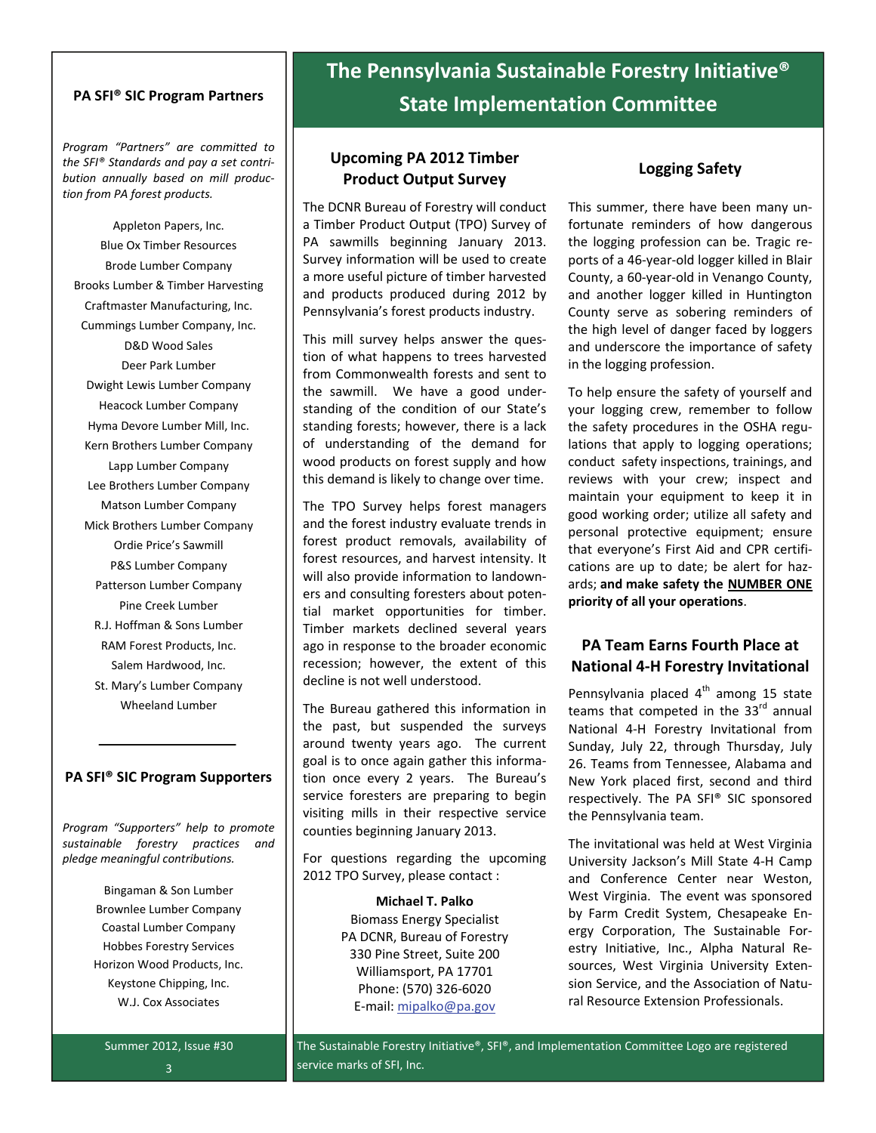### **PA SFI® SIC Program Partners**

*Program "Partners" are committed to the SFI® Standards and pay a set contri‐ bution annually based on mill produc‐ tion from PA forest products.*

Appleton Papers, Inc. Blue Ox Timber Resources Brode Lumber Company Brooks Lumber & Timber Harvesting Craftmaster Manufacturing, Inc. Cummings Lumber Company, Inc. D&D Wood Sales Deer Park Lumber Dwight Lewis Lumber Company Heacock Lumber Company Hyma Devore Lumber Mill, Inc. Kern Brothers Lumber Company Lapp Lumber Company Lee Brothers Lumber Company Matson Lumber Company Mick Brothers Lumber Company Ordie Price's Sawmill P&S Lumber Company Patterson Lumber Company Pine Creek Lumber R.J. Hoffman & Sons Lumber RAM Forest Products, Inc. Salem Hardwood, Inc. St. Mary's Lumber Company

### **PA SFI® SIC Program Supporters**

Wheeland Lumber

*Program "Supporters" help to promote sustainable forestry practices and pledge meaningful contributions.*

> Bingaman & Son Lumber Brownlee Lumber Company Coastal Lumber Company Hobbes Forestry Services Horizon Wood Products, Inc. Keystone Chipping, Inc. W.J. Cox Associates

# **The Pennsylvania Sustainable Forestry Initiative® State Implementation Committee**

### **Upcoming PA 2012 Timber Product Output Survey**

The DCNR Bureau of Forestry will conduct a Timber Product Output (TPO) Survey of PA sawmills beginning January 2013. Survey information will be used to create a more useful picture of timber harvested and products produced during 2012 by Pennsylvania's forest products industry.

This mill survey helps answer the ques‐ tion of what happens to trees harvested from Commonwealth forests and sent to the sawmill. We have a good understanding of the condition of our State's standing forests; however, there is a lack of understanding of the demand for wood products on forest supply and how this demand is likely to change over time.

The TPO Survey helps forest managers and the forest industry evaluate trends in forest product removals, availability of forest resources, and harvest intensity. It will also provide information to landown‐ ers and consulting foresters about poten‐ tial market opportunities for timber. Timber markets declined several years ago in response to the broader economic recession; however, the extent of this decline is not well understood.

The Bureau gathered this information in the past, but suspended the surveys around twenty years ago. The current goal is to once again gather this informa‐ tion once every 2 years. The Bureau's service foresters are preparing to begin visiting mills in their respective service counties beginning January 2013.

For questions regarding the upcoming 2012 TPO Survey, please contact :

> **Michael T. Palko** Biomass Energy Specialist PA DCNR, Bureau of Forestry 330 Pine Street, Suite 200 Williamsport, PA 17701 Phone: (570) 326‐6020 E‐mail: [mipalko@pa.gov](mailto:mipalko@pa.gov)

### **Logging Safety**

This summer, there have been many un‐ fortunate reminders of how dangerous the logging profession can be. Tragic re‐ ports of a 46‐year‐old logger killed in Blair County, a 60‐year‐old in Venango County, and another logger killed in Huntington County serve as sobering reminders of the high level of danger faced by loggers and underscore the importance of safety in the logging profession.

To help ensure the safety of yourself and your logging crew, remember to follow the safety procedures in the OSHA regu‐ lations that apply to logging operations; conduct safety inspections, trainings, and reviews with your crew; inspect and maintain your equipment to keep it in good working order; utilize all safety and personal protective equipment; ensure that everyone's First Aid and CPR certifi‐ cations are up to date; be alert for haz‐ ards; **and make safety the NUMBER ONE priority of all your operations**.

### **PA Team Earns Fourth Place at National 4‐H Forestry Invitational**

Pennsylvania placed  $4<sup>th</sup>$  among 15 state teams that competed in the 33<sup>rd</sup> annual National 4‐H Forestry Invitational from Sunday, July 22, through Thursday, July 26. Teams from Tennessee, Alabama and New York placed first, second and third respectively. The PA SFI® SIC sponsored the Pennsylvania team.

The invitational was held at West Virginia University Jackson's Mill State 4‐H Camp and Conference Center near Weston, West Virginia. The event was sponsored by Farm Credit System, Chesapeake En‐ ergy Corporation, The Sustainable For‐ estry Initiative, Inc., Alpha Natural Re‐ sources, West Virginia University Exten‐ sion Service, and the Association of Natu‐ ral Resource Extension Professionals.

Summer 2012, Issue #30 3

The Sustainable Forestry Initiative®, SFI®, and Implementation Committee Logo are registered service marks of SFI, Inc.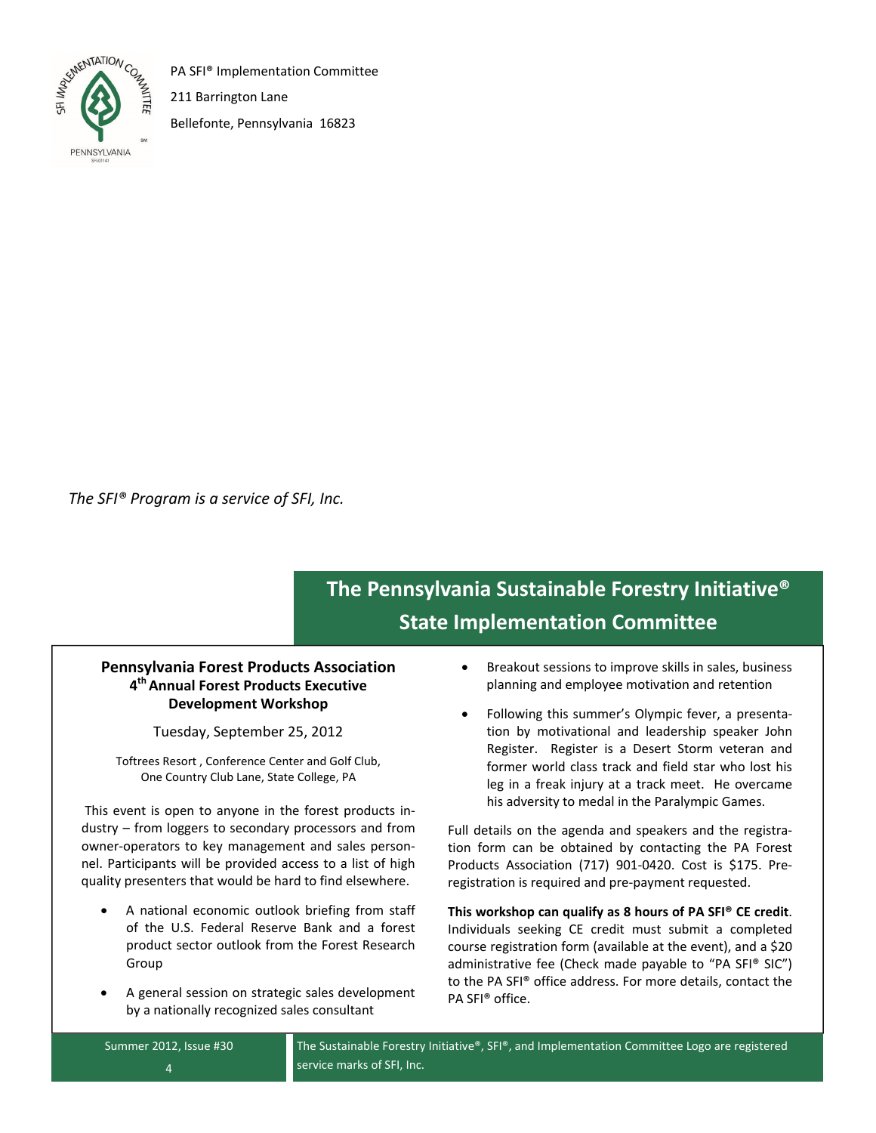

PA SFI® Implementation Committee

211 Barrington Lane

Bellefonte, Pennsylvania 16823

*The SFI® Program is a service of SFI, Inc.*

# **The Pennsylvania Sustainable Forestry Initiative® State Implementation Committee**

### **Pennsylvania Forest Products Association 4thAnnual Forest Products Executive Development Workshop**

Tuesday, September 25, 2012

Toftrees Resort , Conference Center and Golf Club, One Country Club Lane, State College, PA

This event is open to anyone in the forest products in‐ dustry – from loggers to secondary processors and from owner‐operators to key management and sales person‐ nel. Participants will be provided access to a list of high quality presenters that would be hard to find elsewhere.

- A national economic outlook briefing from staff of the U.S. Federal Reserve Bank and a forest product sector outlook from the Forest Research Group
- A general session on strategic sales development by a nationally recognized sales consultant
- Breakout sessions to improve skills in sales, business planning and employee motivation and retention
- Following this summer's Olympic fever, a presenta‐ tion by motivational and leadership speaker John Register. Register is a Desert Storm veteran and former world class track and field star who lost his leg in a freak injury at a track meet. He overcame his adversity to medal in the Paralympic Games.

Full details on the agenda and speakers and the registra‐ tion form can be obtained by contacting the PA Forest Products Association (717) 901‐0420. Cost is \$175. Pre‐ registration is required and pre‐payment requested.

**This workshop can qualify as 8 hours of PA SFI® CE credit**. Individuals seeking CE credit must submit a completed course registration form (available at the event), and a \$20 administrative fee (Check made payable to "PA SFI® SIC") to the PA SFI® office address. For more details, contact the PA SFI® office.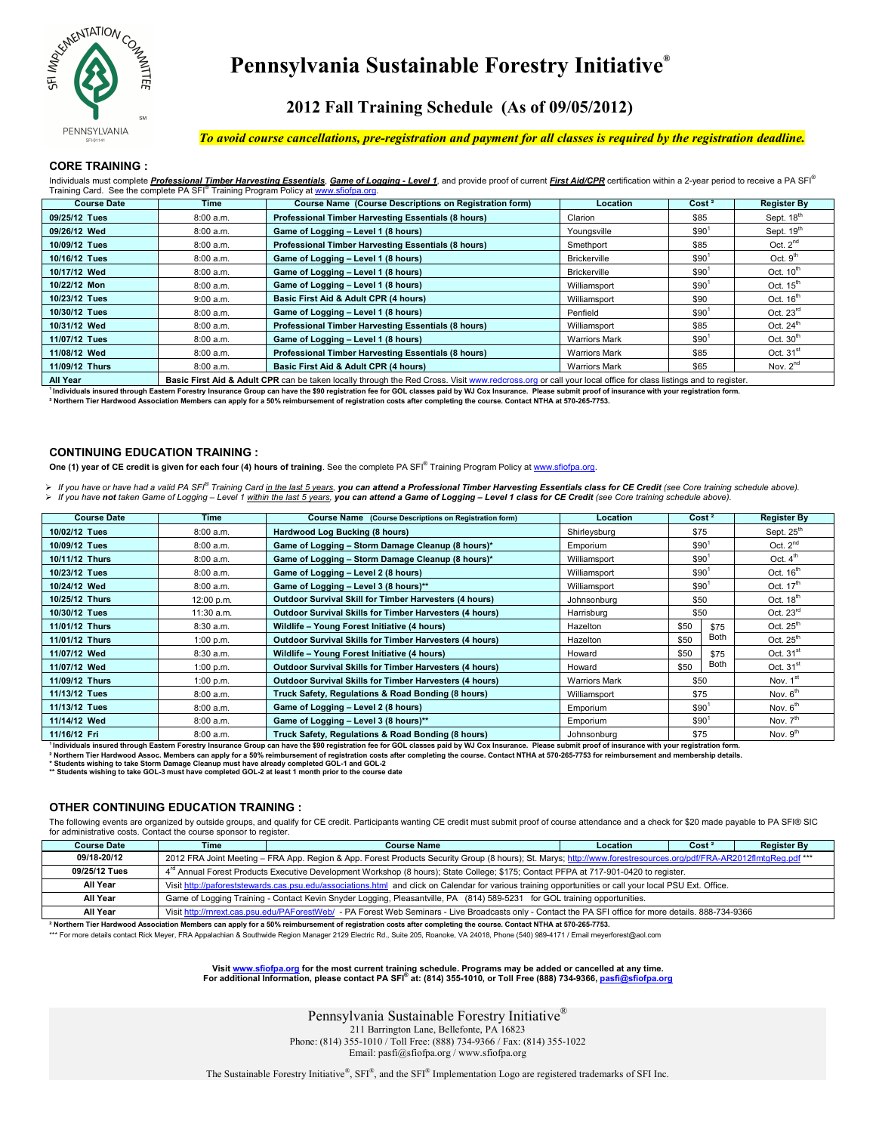

## Pennsylvania Sustainable Forestry Initiative®

## 2012 Fall Training Schedule (As of 09/05/2012)

#### To avoid course cancellations, pre-registration and payment for all classes is required by the registration deadline.

#### **CORE TRAINING:**

| Individuals must complete Professional Timber Harvesting Essentials, Game of Logging - Level 1, and provide proof of current First Aid/CPR certification within a 2-year period to receive a PA SFT<br>Training Card. See the complete PA SFI <sup>®</sup> Training Program Policy at www.sfiofpa.org. |             |                                                            |                   |                    |           |  |
|--------------------------------------------------------------------------------------------------------------------------------------------------------------------------------------------------------------------------------------------------------------------------------------------------------|-------------|------------------------------------------------------------|-------------------|--------------------|-----------|--|
| <b>Course Date</b>                                                                                                                                                                                                                                                                                     | <b>Time</b> | Course Name (Course Descriptions on Registration form)     | Cost <sup>2</sup> | <b>Reaister By</b> |           |  |
| 09/25/12 Tues                                                                                                                                                                                                                                                                                          | 8:00a.m.    | <b>Professional Timber Harvesting Essentials (8 hours)</b> | Clarion           | \$85               | Sept. 18" |  |
| 09/26/12 Wed                                                                                                                                                                                                                                                                                           | 8:00a.m.    | Game of Logging - Level 1 (8 hours)                        | Younasville       | \$90'              | Sept. 19" |  |
|                                                                                                                                                                                                                                                                                                        |             |                                                            |                   |                    |           |  |

|                |                                                                                                                                                                        |                                                     |                      | <b></b> |                      |  |
|----------------|------------------------------------------------------------------------------------------------------------------------------------------------------------------------|-----------------------------------------------------|----------------------|---------|----------------------|--|
| 10/09/12 Tues  | 8:00 a.m.                                                                                                                                                              | Professional Timber Harvesting Essentials (8 hours) | Smethport            | \$85    | Oct. $2^{nd}$        |  |
| 10/16/12 Tues  | 8:00 a.m.                                                                                                                                                              | Game of Logging - Level 1 (8 hours)                 | Brickerville         | \$90'   | Oct. $9th$           |  |
| 10/17/12 Wed   | 8:00 a.m.                                                                                                                                                              | Game of Logging - Level 1 (8 hours)                 | <b>Brickerville</b>  | \$90'   | Oct. $10^{th}$       |  |
| 10/22/12 Mon   | 8:00 a.m.                                                                                                                                                              | Game of Logging - Level 1 (8 hours)                 | Williamsport         | \$90'   | Oct. $15th$          |  |
| 10/23/12 Tues  | 9:00 a.m.                                                                                                                                                              | Basic First Aid & Adult CPR (4 hours)               | Williamsport         | \$90    | Oct. $16th$          |  |
| 10/30/12 Tues  | 8:00 a.m.                                                                                                                                                              | Game of Logging - Level 1 (8 hours)                 | Penfield             | \$90'   | Oct. $23rd$          |  |
| 10/31/12 Wed   | 8:00 a.m.                                                                                                                                                              | Professional Timber Harvesting Essentials (8 hours) | Williamsport         | \$85    | Oct. $24th$          |  |
| 11/07/12 Tues  | 8:00 a.m.                                                                                                                                                              | Game of Logging - Level 1 (8 hours)                 | <b>Warriors Mark</b> | \$90'   | Oct. $30th$          |  |
| 11/08/12 Wed   | 8:00 a.m.                                                                                                                                                              | Professional Timber Harvesting Essentials (8 hours) | <b>Warriors Mark</b> | \$85    | Oct. $31st$          |  |
| 11/09/12 Thurs | 8:00 a.m.                                                                                                                                                              | Basic First Aid & Adult CPR (4 hours)               | <b>Warriors Mark</b> | \$65    | Nov. 2 <sup>nd</sup> |  |
| All Year       | <b>Basic First Aid &amp; Adult CPR</b> can be taken locally through the Red Cross. Visit www.redcross.org or call your local office for class listings and to register |                                                     |                      |         |                      |  |

Individuals insured through Eastern Forestry Insurance Group can have the \$90 registration fee for GOL classes paid by WJ Cox Insurance. Please submit proof of insurance with your registration form.

.<br>Northern Tier Hardwood Association Members can apply for a 50% reimbursement of registration costs after completing the course. Contact NTHA at 570-265-7753.

#### **CONTINUING EDUCATION TRAINING :**

One (1) year of CE credit is given for each four (4) hours of training. See the complete PA SFI® Training Program Policy at www.sfiofpa.org.

> If you have or have had a valid PA SFI® Training Card in the last 5 years, <mark>you can attend a Professional Timber Harvesting Essentials class for CE Credit</mark> (see Core training schedule above). > If you have not taken Game of Logging – Level 1 within the last 5 years, you can attend a Game of Logging – Level 1 class for CE Credit (see Core training schedule above)

| <b>Course Date</b> | Time       | Course Name (Course Descriptions on Registration form)         | Location             | Cost <sup>2</sup> |              | <b>Register By</b>   |
|--------------------|------------|----------------------------------------------------------------|----------------------|-------------------|--------------|----------------------|
| 10/02/12 Tues      | 8:00 a.m.  | \$75<br>Hardwood Log Bucking (8 hours)<br>Shirleysburg         |                      |                   | Sept. $25th$ |                      |
| 10/09/12 Tues      | 8:00 a.m.  | Game of Logging - Storm Damage Cleanup (8 hours)*              | Emporium             | \$90'             |              | Oct. $2^{nd}$        |
| 10/11/12 Thurs     | 8:00 a.m.  | Game of Logging - Storm Damage Cleanup (8 hours)*              | Williamsport         | \$90              |              | Oct. $4th$           |
| 10/23/12 Tues      | 8:00 a.m.  | Game of Logging - Level 2 (8 hours)                            | Williamsport         | \$90              |              | Oct. $16th$          |
| 10/24/12 Wed       | 8:00 a.m.  | Game of Logging - Level 3 (8 hours)**                          | \$90<br>Williamsport |                   |              | Oct. $17th$          |
| 10/25/12 Thurs     | 12:00 p.m. | <b>Outdoor Survival Skill for Timber Harvesters (4 hours)</b>  | Johnsonburg          | \$50              |              | Oct. $18th$          |
| 10/30/12 Tues      | 11:30 a.m. | <b>Outdoor Survival Skills for Timber Harvesters (4 hours)</b> | Harrisburg           | \$50              |              | Oct. 23rd            |
| 11/01/12 Thurs     | 8:30 a.m.  | Wildlife - Young Forest Initiative (4 hours)                   | Hazelton             | \$50              | \$75         | Oct. $25th$          |
| 11/01/12 Thurs     | 1:00 p.m.  | <b>Outdoor Survival Skills for Timber Harvesters (4 hours)</b> | Hazelton             | \$50              | Both         | Oct. $25th$          |
| 11/07/12 Wed       | 8:30 a.m.  | Wildlife - Young Forest Initiative (4 hours)                   | Howard               | \$50              | \$75         | Oct. $31st$          |
| 11/07/12 Wed       | 1:00 p.m.  | <b>Outdoor Survival Skills for Timber Harvesters (4 hours)</b> | Howard               | \$50              | Both         | Oct. $31st$          |
| 11/09/12 Thurs     | 1:00 p.m.  | <b>Outdoor Survival Skills for Timber Harvesters (4 hours)</b> | <b>Warriors Mark</b> | \$50              |              | Nov. 1st             |
| 11/13/12 Tues      | 8:00 a.m.  | Truck Safety, Regulations & Road Bonding (8 hours)             | Williamsport         | \$75              |              | Nov. 6 <sup>th</sup> |
| 11/13/12 Tues      | 8:00 a.m.  | Game of Logging - Level 2 (8 hours)                            | Emporium             | \$90'             |              | Nov. $6th$           |
| 11/14/12 Wed       | 8:00 a.m.  | Game of Logging - Level 3 (8 hours)**                          | Emporium             | \$90'             |              | Nov. $7th$           |
| 11/16/12 Fri       | 8:00 a.m.  | Truck Safety, Regulations & Road Bonding (8 hours)             | Johnsonburg          | \$75              |              | Nov. $9th$           |

Individuals insured through Eastern Forestry Insurance Group can have the \$90 registration fee for GOL classes paid by WJ Cox Insurance. Please submit proof of insurance with your registration form

Marriagn Treative an origin Eastern Ferrery meansing Stoup can have the secretive service tor Societization of the courses plan by the OX meansing. Prease summit proof of mismather with your respectively insurance with you ership details

#### **OTHER CONTINUING EDUCATION TRAINING :**

The following events are organized by outside groups, and qualify for CE credit. Participants wanting CE credit must submit proof of course attendance and a check for \$20 made payable to PA SFI® SIC for administrative costs. Contact the course sponsor to register.

| <b>Course Date</b> | Time                                                                                                                                                              | <b>Course Name</b>                                                                                                                                      | Location | Cost <sup>2</sup> | <b>Register By</b> |  |
|--------------------|-------------------------------------------------------------------------------------------------------------------------------------------------------------------|---------------------------------------------------------------------------------------------------------------------------------------------------------|----------|-------------------|--------------------|--|
| 09/18 20/12        | 2012 FRA Joint Meeting - FRA App. Region & App. Forest Products Security Group (8 hours); St. Marys; http://www.forestresources.org/pdf/FRA-AR2012flmtgReg.pdf*** |                                                                                                                                                         |          |                   |                    |  |
| 09/25/12 Tues      | 4 <sup>rd</sup> Annual Forest Products Executive Development Workshop (8 hours); State College; \$175; Contact PFPA at 717-901-0420 to register.                  |                                                                                                                                                         |          |                   |                    |  |
| All Year           | Visit http://paforeststewards.cas.psu.edu/associations.html and click on Calendar for various training opportunities or call your local PSU Ext. Office.          |                                                                                                                                                         |          |                   |                    |  |
| All Year           | Game of Logging Training - Contact Kevin Snyder Logging, Pleasantville, PA (814) 589-5231 for GOL training opportunities.                                         |                                                                                                                                                         |          |                   |                    |  |
| All Year           |                                                                                                                                                                   | Visit http://rnrext.cas.psu.edu/PAForestWeb/ - PA Forest Web Seminars - Live Broadcasts only - Contact the PA SFI office for more details. 888-734-9366 |          |                   |                    |  |

<sup>2</sup> Northern Tier Hardwood Association Members can apply for a 50% reimbursement of registration costs after completing the course. Contact NTHA at 570-265-7753.

\*\*\* For more details contact Rick Meyer, FRA Appalachian & Southwide Region Manager 2129 Electric Rd., Suite 205, Roanoke, VA 24018, Phone (540) 989-4171 / Email meyerforest@aol.com

Visit www.sfiofpa.org for the most current training schedule. Programs may be added or cancelled at any time.<br>For additional Information, please contact PA SFI® at: (814) 355-1010, or Toll Free (888) 734-9366, pasfi@sfiofp ofpa.org

> Pennsylvania Sustainable Forestry Initiative® 211 Barrington Lane, Bellefonte, PA 16823 Phone: (814) 355-1010 / Toll Free: (888) 734-9366 / Fax: (814) 355-1022

Email: pasfi@sfiofpa.org / www.sfiofpa.org

The Sustainable Forestry Initiative<sup>®</sup>, SFI<sup>®</sup>, and the SFI<sup>®</sup> Implementation Logo are registered trademarks of SFI Inc.